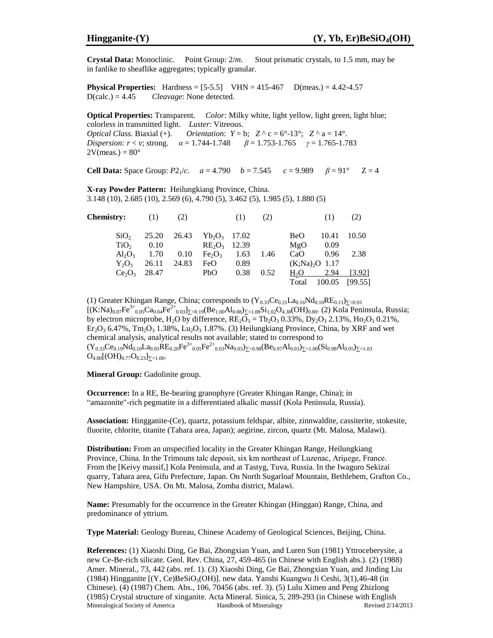**Crystal Data:** Monoclinic. Point Group: 2/*m*. Stout prismatic crystals, to 1.5 mm, may be in fanlike to sheaflike aggregates; typically granular.

**Physical Properties:** Hardness =  $[5-5.5]$  VHN =  $415-467$  D(meas.) =  $4.42-4.57$ D(calc.) = 4.45 *Cleavage*: None detected.

**Optical Properties:** Transparent. *Color:* Milky white, light yellow, light green, light blue; colorless in transmitted light. *Luster*: Vitreous. *Optical Class.* Biaxial (+). *Orientation*:  $Y = b$ ;  $Z^{\wedge} c = 6^{\circ} - 13^{\circ}$ ;  $Z^{\wedge} a = 14^{\circ}$ . *Dispersion:*  $r < v$ ; strong.  $\alpha = 1.744 - 1.748$   $\beta = 1.753 - 1.765$   $\gamma = 1.765 - 1.783$  $2V(meas.) = 80^\circ$ 

**Cell Data:** Space Group:  $P2_1/c$ .  $a = 4.790$   $b = 7.545$   $c = 9.989$   $\beta = 91^\circ$   $Z = 4$ 

**X-ray Powder Pattern:** Heilungkiang Province, China. 3.148 (10), 2.685 (10), 2.569 (6), 4.790 (5), 3.462 (5), 1.985 (5), 1.880 (5)

| <b>Chemistry:</b> | (1)   | (2)   |                                |      | (2)  |                  |        | (2)     |
|-------------------|-------|-------|--------------------------------|------|------|------------------|--------|---------|
| SiO <sub>2</sub>  | 25.20 | 26.43 | $Yb_2O_3$ 17.02                |      |      | <b>BeO</b>       | 10.41  | 10.50   |
| TiO <sub>2</sub>  | 0.10  |       | $RE_2O_3$ 12.39                |      |      | MgO              | 0.09   |         |
| $Al_2O_3$         | 1.70  | 0.10  | Fe <sub>2</sub> O <sub>3</sub> | 1.63 | 1.46 | CaO              | 0.96   | 2.38    |
| $Y_2O_3$          | 26.11 | 24.83 | FeO                            | 0.89 |      | $(K;Na)_2O$ 1.17 |        |         |
| $Ce_2O_3$         | 28.47 |       | PbO                            | 0.38 | 0.52 | $H_2O$           | 2.94   | [3.92]  |
|                   |       |       |                                |      |      | Total            | 100.05 | [99.55] |

(1) Greater Khingan Range, China; corresponds to  $(Y_{0.33}Ce_{0.21}La_{0.16}Nd_{0.10}RE_{0.13})_{\Sigma=0.93}$  $[(K:Na)_{0.07}Fe^{3+}_{0.05}Ca_{0.04}Fe^{2+}_{0.03}]_{\Sigma=0.19}(Be_{1.00}Al_{0.08})_{\Sigma=1.08}Si_{1.02}O_{4.38}(OH)_{0.80}$ . (2) Kola Peninsula, Russia; by electron microprobe, H<sub>2</sub>O by difference,  $RE_2\overline{O}_3 = Tb_2O_3 0.33\%$ ,  $Dy_2O_3 2.13\%$ , Ho<sub>2</sub>O<sub>3</sub> 0.21%,  $Er_2O_3$  6.47%,  $Tm_2O_3$  1.38%, Lu<sub>2</sub>O<sub>3</sub> 1.87%. (3) Heilungkiang Province, China, by XRF and wet chemical analysis, analytical results not available; stated to correspond to  $(Y_{0.33}Ce_{0.19}Nd_{0.10}La_{0.05}RE_{0.20}Fe^{3+}{}_{0.05}Fe^{2+}{}_{0.03}Na_{0.03})_{\Sigma=0.98}(Be_{0.97}Al_{0.03})_{\Sigma=1.00}(Si_{0.98}Al_{0.05})_{\Sigma=1.03}$  $O_{4.00}[(OH)_{0.77}O_{0.23}]_{\Sigma=1.00}$ .

**Mineral Group:** Gadolinite group.

**Occurrence:** In a RE, Be-bearing granophyre (Greater Khingan Range, China); in "amazonite"-rich pegmatite in a differentiated alkalic massif (Kola Peninsula, Russia).

**Association:** Hingganite-(Ce), quartz, potassium feldspar, albite, zinnwaldite, cassiterite, stokesite, fluorite, chlorite, titanite (Tahara area, Japan); aegirine, zircon, quartz (Mt. Malosa, Malawi).

**Distribution:** From an unspecified locality in the Greater Khingan Range, Heilungkiang Province, China. In the Trimouns talc deposit, six km northeast of Luzenac, Ariμege, France. From the [Keivy massif,] Kola Peninsula, and at Tastyg, Tuva, Russia. In the Iwaguro Sekizai quarry, Tahara area, Gifu Prefecture, Japan. On North Sugarloaf Mountain, Bethlehem, Grafton Co., New Hampshire, USA. On Mt. Malosa, Zomba district, Malawi.

**Name:** Presumably for the occurrence in the Greater Khingan (Hinggan) Range, China, and predominance of yttrium.

**Type Material:** Geology Bureau, Chinese Academy of Geological Sciences, Beijing, China.

Mineralogical Society of America **Handbook of Mineralogy** Revised 2/14/2013 **References:** (1) Xiaoshi Ding, Ge Bai, Zhongxian Yuan, and Luren Sun (1981) Yttroceberysite, a new Ce-Be-rich silicate. Geol. Rev. China, 27, 459-465 (in Chinese with English abs.). (2) (1988) Amer. Mineral., 73, 442 (abs. ref. 1). (3) Xiaoshi Ding, Ge Bai, Zhongxian Yuan, and Jinding Liu (1984) Hingganite  $[(Y, Ce)BeSiO<sub>5</sub>(OH)]$ . new data. Yanshi Kuangwu Ji Ceshi, 3(1),46-48 (in Chinese). (4) (1987) Chem. Abs., 106, 70456 (abs. ref. 3). (5) Lulu Ximen and Peng Zhizlong (1985) Crystal structure of xinganite. Acta Mineral. Sinica, 5, 289-293 (in Chinese with English